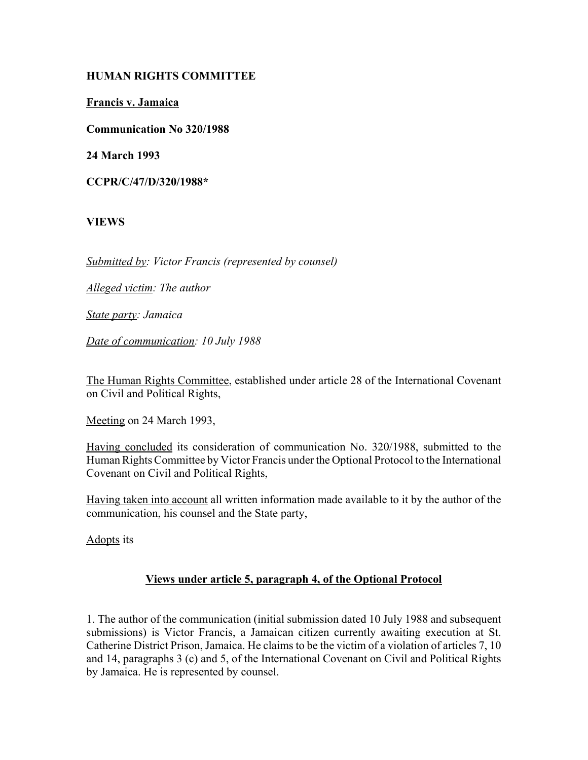## **HUMAN RIGHTS COMMITTEE**

**Francis v. Jamaica**

**Communication No 320/1988**

**24 March 1993**

**CCPR/C/47/D/320/1988\***

**VIEWS**

*Submitted by: Victor Francis (represented by counsel)* 

*Alleged victim: The author* 

*State party: Jamaica* 

*Date of communication: 10 July 1988*

The Human Rights Committee, established under article 28 of the International Covenant on Civil and Political Rights,

Meeting on 24 March 1993,

Having concluded its consideration of communication No. 320/1988, submitted to the Human Rights Committee by Victor Francis under the Optional Protocol to the International Covenant on Civil and Political Rights,

Having taken into account all written information made available to it by the author of the communication, his counsel and the State party,

Adopts its

## **Views under article 5, paragraph 4, of the Optional Protocol**

1. The author of the communication (initial submission dated 10 July 1988 and subsequent submissions) is Victor Francis, a Jamaican citizen currently awaiting execution at St. Catherine District Prison, Jamaica. He claims to be the victim of a violation of articles 7, 10 and 14, paragraphs 3 (c) and 5, of the International Covenant on Civil and Political Rights by Jamaica. He is represented by counsel.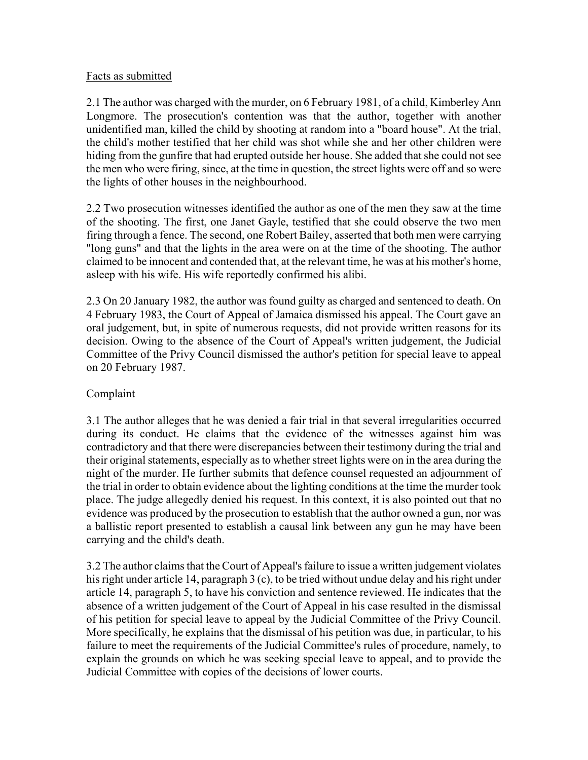#### Facts as submitted

2.1 The author was charged with the murder, on 6 February 1981, of a child, Kimberley Ann Longmore. The prosecution's contention was that the author, together with another unidentified man, killed the child by shooting at random into a "board house". At the trial, the child's mother testified that her child was shot while she and her other children were hiding from the gunfire that had erupted outside her house. She added that she could not see the men who were firing, since, at the time in question, the street lights were off and so were the lights of other houses in the neighbourhood.

2.2 Two prosecution witnesses identified the author as one of the men they saw at the time of the shooting. The first, one Janet Gayle, testified that she could observe the two men firing through a fence. The second, one Robert Bailey, asserted that both men were carrying "long guns" and that the lights in the area were on at the time of the shooting. The author claimed to be innocent and contended that, at the relevant time, he was at his mother's home, asleep with his wife. His wife reportedly confirmed his alibi.

2.3 On 20 January 1982, the author was found guilty as charged and sentenced to death. On 4 February 1983, the Court of Appeal of Jamaica dismissed his appeal. The Court gave an oral judgement, but, in spite of numerous requests, did not provide written reasons for its decision. Owing to the absence of the Court of Appeal's written judgement, the Judicial Committee of the Privy Council dismissed the author's petition for special leave to appeal on 20 February 1987.

# Complaint

3.1 The author alleges that he was denied a fair trial in that several irregularities occurred during its conduct. He claims that the evidence of the witnesses against him was contradictory and that there were discrepancies between their testimony during the trial and their original statements, especially as to whether street lights were on in the area during the night of the murder. He further submits that defence counsel requested an adjournment of the trial in order to obtain evidence about the lighting conditions at the time the murder took place. The judge allegedly denied his request. In this context, it is also pointed out that no evidence was produced by the prosecution to establish that the author owned a gun, nor was a ballistic report presented to establish a causal link between any gun he may have been carrying and the child's death.

3.2 The author claims that the Court of Appeal's failure to issue a written judgement violates his right under article 14, paragraph 3 (c), to be tried without undue delay and his right under article 14, paragraph 5, to have his conviction and sentence reviewed. He indicates that the absence of a written judgement of the Court of Appeal in his case resulted in the dismissal of his petition for special leave to appeal by the Judicial Committee of the Privy Council. More specifically, he explains that the dismissal of his petition was due, in particular, to his failure to meet the requirements of the Judicial Committee's rules of procedure, namely, to explain the grounds on which he was seeking special leave to appeal, and to provide the Judicial Committee with copies of the decisions of lower courts.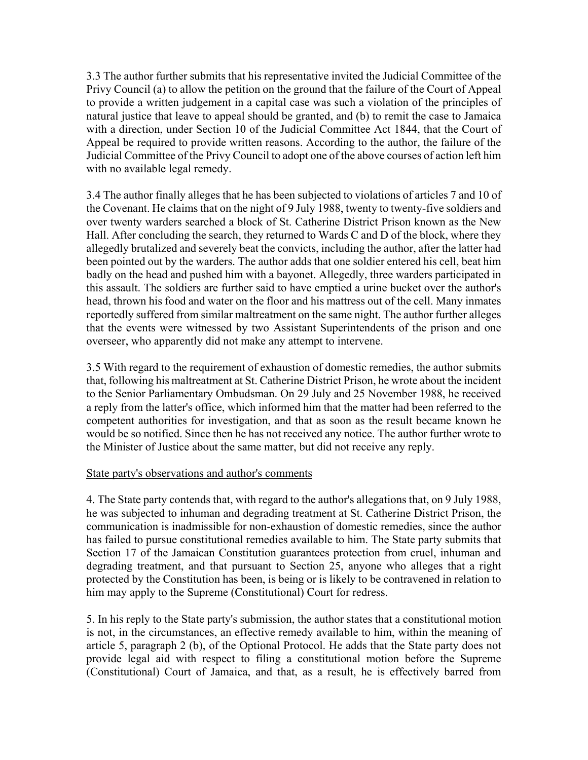3.3 The author further submits that his representative invited the Judicial Committee of the Privy Council (a) to allow the petition on the ground that the failure of the Court of Appeal to provide a written judgement in a capital case was such a violation of the principles of natural justice that leave to appeal should be granted, and (b) to remit the case to Jamaica with a direction, under Section 10 of the Judicial Committee Act 1844, that the Court of Appeal be required to provide written reasons. According to the author, the failure of the Judicial Committee of the Privy Council to adopt one of the above courses of action left him with no available legal remedy.

3.4 The author finally alleges that he has been subjected to violations of articles 7 and 10 of the Covenant. He claims that on the night of 9 July 1988, twenty to twenty-five soldiers and over twenty warders searched a block of St. Catherine District Prison known as the New Hall. After concluding the search, they returned to Wards C and D of the block, where they allegedly brutalized and severely beat the convicts, including the author, after the latter had been pointed out by the warders. The author adds that one soldier entered his cell, beat him badly on the head and pushed him with a bayonet. Allegedly, three warders participated in this assault. The soldiers are further said to have emptied a urine bucket over the author's head, thrown his food and water on the floor and his mattress out of the cell. Many inmates reportedly suffered from similar maltreatment on the same night. The author further alleges that the events were witnessed by two Assistant Superintendents of the prison and one overseer, who apparently did not make any attempt to intervene.

3.5 With regard to the requirement of exhaustion of domestic remedies, the author submits that, following his maltreatment at St. Catherine District Prison, he wrote about the incident to the Senior Parliamentary Ombudsman. On 29 July and 25 November 1988, he received a reply from the latter's office, which informed him that the matter had been referred to the competent authorities for investigation, and that as soon as the result became known he would be so notified. Since then he has not received any notice. The author further wrote to the Minister of Justice about the same matter, but did not receive any reply.

## State party's observations and author's comments

4. The State party contends that, with regard to the author's allegations that, on 9 July 1988, he was subjected to inhuman and degrading treatment at St. Catherine District Prison, the communication is inadmissible for non-exhaustion of domestic remedies, since the author has failed to pursue constitutional remedies available to him. The State party submits that Section 17 of the Jamaican Constitution guarantees protection from cruel, inhuman and degrading treatment, and that pursuant to Section 25, anyone who alleges that a right protected by the Constitution has been, is being or is likely to be contravened in relation to him may apply to the Supreme (Constitutional) Court for redress.

5. In his reply to the State party's submission, the author states that a constitutional motion is not, in the circumstances, an effective remedy available to him, within the meaning of article 5, paragraph 2 (b), of the Optional Protocol. He adds that the State party does not provide legal aid with respect to filing a constitutional motion before the Supreme (Constitutional) Court of Jamaica, and that, as a result, he is effectively barred from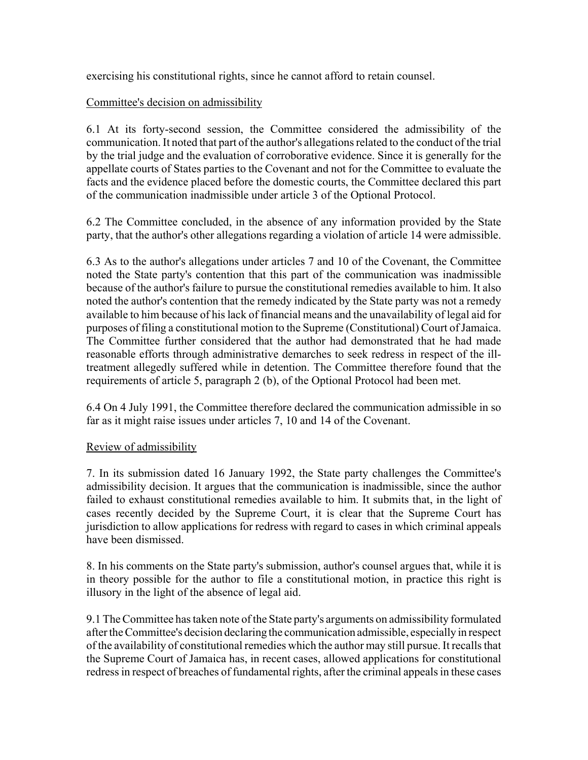exercising his constitutional rights, since he cannot afford to retain counsel.

### Committee's decision on admissibility

6.1 At its forty-second session, the Committee considered the admissibility of the communication. It noted that part of the author's allegations related to the conduct of the trial by the trial judge and the evaluation of corroborative evidence. Since it is generally for the appellate courts of States parties to the Covenant and not for the Committee to evaluate the facts and the evidence placed before the domestic courts, the Committee declared this part of the communication inadmissible under article 3 of the Optional Protocol.

6.2 The Committee concluded, in the absence of any information provided by the State party, that the author's other allegations regarding a violation of article 14 were admissible.

6.3 As to the author's allegations under articles 7 and 10 of the Covenant, the Committee noted the State party's contention that this part of the communication was inadmissible because of the author's failure to pursue the constitutional remedies available to him. It also noted the author's contention that the remedy indicated by the State party was not a remedy available to him because of his lack of financial means and the unavailability of legal aid for purposes of filing a constitutional motion to the Supreme (Constitutional) Court of Jamaica. The Committee further considered that the author had demonstrated that he had made reasonable efforts through administrative demarches to seek redress in respect of the illtreatment allegedly suffered while in detention. The Committee therefore found that the requirements of article 5, paragraph 2 (b), of the Optional Protocol had been met.

6.4 On 4 July 1991, the Committee therefore declared the communication admissible in so far as it might raise issues under articles 7, 10 and 14 of the Covenant.

#### Review of admissibility

7. In its submission dated 16 January 1992, the State party challenges the Committee's admissibility decision. It argues that the communication is inadmissible, since the author failed to exhaust constitutional remedies available to him. It submits that, in the light of cases recently decided by the Supreme Court, it is clear that the Supreme Court has jurisdiction to allow applications for redress with regard to cases in which criminal appeals have been dismissed.

8. In his comments on the State party's submission, author's counsel argues that, while it is in theory possible for the author to file a constitutional motion, in practice this right is illusory in the light of the absence of legal aid.

9.1 The Committee has taken note of the State party's arguments on admissibility formulated after the Committee's decision declaring the communication admissible, especially in respect of the availability of constitutional remedies which the author may still pursue. It recalls that the Supreme Court of Jamaica has, in recent cases, allowed applications for constitutional redress in respect of breaches of fundamental rights, after the criminal appeals in these cases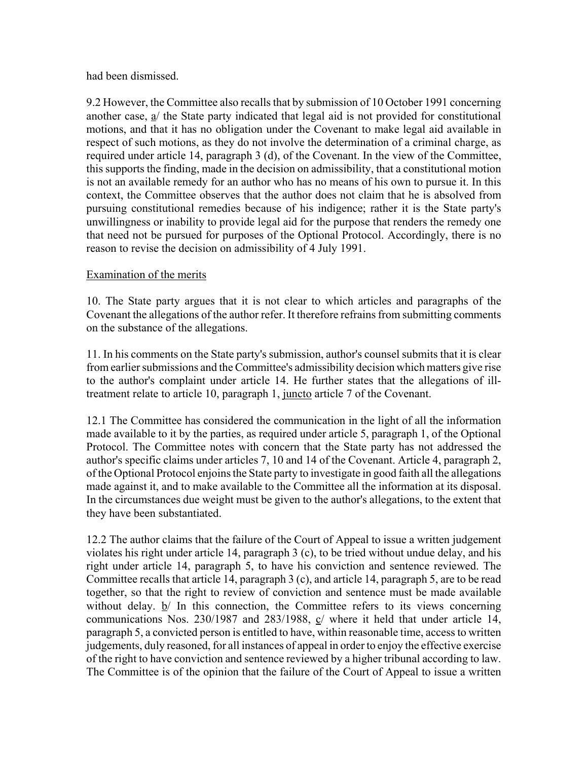#### had been dismissed.

9.2 However, the Committee also recalls that by submission of 10 October 1991 concerning another case,  $a$  the State party indicated that legal aid is not provided for constitutional motions, and that it has no obligation under the Covenant to make legal aid available in respect of such motions, as they do not involve the determination of a criminal charge, as required under article 14, paragraph 3 (d), of the Covenant. In the view of the Committee, this supports the finding, made in the decision on admissibility, that a constitutional motion is not an available remedy for an author who has no means of his own to pursue it. In this context, the Committee observes that the author does not claim that he is absolved from pursuing constitutional remedies because of his indigence; rather it is the State party's unwillingness or inability to provide legal aid for the purpose that renders the remedy one that need not be pursued for purposes of the Optional Protocol. Accordingly, there is no reason to revise the decision on admissibility of 4 July 1991.

#### Examination of the merits

10. The State party argues that it is not clear to which articles and paragraphs of the Covenant the allegations of the author refer. It therefore refrains from submitting comments on the substance of the allegations.

11. In his comments on the State party's submission, author's counsel submits that it is clear from earlier submissions and the Committee's admissibility decision which matters give rise to the author's complaint under article 14. He further states that the allegations of illtreatment relate to article 10, paragraph 1, juncto article 7 of the Covenant.

12.1 The Committee has considered the communication in the light of all the information made available to it by the parties, as required under article 5, paragraph 1, of the Optional Protocol. The Committee notes with concern that the State party has not addressed the author's specific claims under articles 7, 10 and 14 of the Covenant. Article 4, paragraph 2, of the Optional Protocol enjoins the State party to investigate in good faith all the allegations made against it, and to make available to the Committee all the information at its disposal. In the circumstances due weight must be given to the author's allegations, to the extent that they have been substantiated.

12.2 The author claims that the failure of the Court of Appeal to issue a written judgement violates his right under article 14, paragraph 3 (c), to be tried without undue delay, and his right under article 14, paragraph 5, to have his conviction and sentence reviewed. The Committee recalls that article 14, paragraph 3 (c), and article 14, paragraph 5, are to be read together, so that the right to review of conviction and sentence must be made available without delay.  $b/$  In this connection, the Committee refers to its views concerning communications Nos. 230/1987 and 283/1988, c/ where it held that under article 14, paragraph 5, a convicted person is entitled to have, within reasonable time, access to written judgements, duly reasoned, for all instances of appeal in order to enjoy the effective exercise of the right to have conviction and sentence reviewed by a higher tribunal according to law. The Committee is of the opinion that the failure of the Court of Appeal to issue a written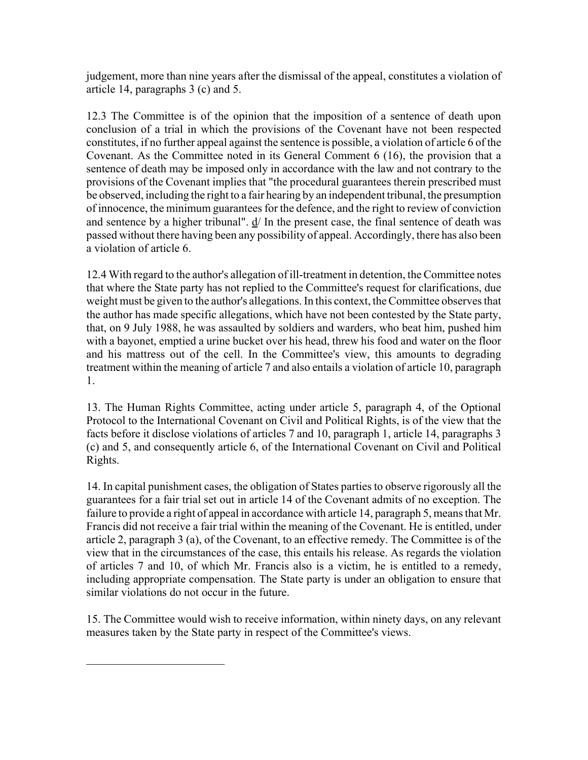judgement, more than nine years after the dismissal of the appeal, constitutes a violation of article 14, paragraphs 3 (c) and 5.

12.3 The Committee is of the opinion that the imposition of a sentence of death upon conclusion of a trial in which the provisions of the Covenant have not been respected constitutes, if no further appeal against the sentence is possible, a violation of article 6 of the Covenant. As the Committee noted in its General Comment 6 (16), the provision that a sentence of death may be imposed only in accordance with the law and not contrary to the provisions of the Covenant implies that "the procedural guarantees therein prescribed must be observed, including the right to a fair hearing by an independent tribunal, the presumption of innocence, the minimum guarantees for the defence, and the right to review of conviction and sentence by a higher tribunal". d/ In the present case, the final sentence of death was passed without there having been any possibility of appeal. Accordingly, there has also been a violation of article 6.

12.4 With regard to the author's allegation of ill-treatment in detention, the Committee notes that where the State party has not replied to the Committee's request for clarifications, due weight must be given to the author's allegations. In this context, the Committee observes that the author has made specific allegations, which have not been contested by the State party, that, on 9 July 1988, he was assaulted by soldiers and warders, who beat him, pushed him with a bayonet, emptied a urine bucket over his head, threw his food and water on the floor and his mattress out of the cell. In the Committee's view, this amounts to degrading treatment within the meaning of article 7 and also entails a violation of article 10, paragraph 1.

13. The Human Rights Committee, acting under article 5, paragraph 4, of the Optional Protocol to the International Covenant on Civil and Political Rights, is of the view that the facts before it disclose violations of articles 7 and 10, paragraph 1, article 14, paragraphs 3 (c) and 5, and consequently article 6, of the International Covenant on Civil and Political Rights.

14. In capital punishment cases, the obligation of States parties to observe rigorously all the guarantees for a fair trial set out in article 14 of the Covenant admits of no exception. The failure to provide a right of appeal in accordance with article 14, paragraph 5, means that Mr. Francis did not receive a fair trial within the meaning of the Covenant. He is entitled, under article 2, paragraph 3 (a), of the Covenant, to an effective remedy. The Committee is of the view that in the circumstances of the case, this entails his release. As regards the violation of articles 7 and 10, of which Mr. Francis also is a victim, he is entitled to a remedy, including appropriate compensation. The State party is under an obligation to ensure that similar violations do not occur in the future.

15. The Committee would wish to receive information, within ninety days, on any relevant measures taken by the State party in respect of the Committee's views.

\_\_\_\_\_\_\_\_\_\_\_\_\_\_\_\_\_\_\_\_\_\_\_\_